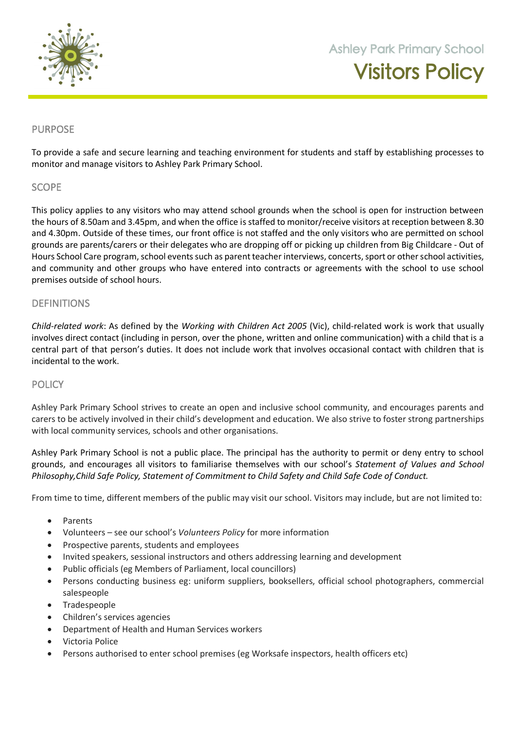

**105 Orchard Road Doreen 3754**

### PURPOSE

To provide a safe and secure learning and teaching environment for students and staff by establishing processes to monitor and manage visitors to Ashley Park Primary School.

### **SCOPE**

This policy applies to any visitors who may attend school grounds when the school is open for instruction between the hours of 8.50am and 3.45pm, and when the office is staffed to monitor/receive visitors at reception between 8.30 and 4.30pm. Outside of these times, our front office is not staffed and the only visitors who are permitted on school grounds are parents/carers or their delegates who are dropping off or picking up children from Big Childcare - Out of Hours School Care program, school events such as parent teacher interviews, concerts, sport or other school activities, and community and other groups who have entered into contracts or agreements with the school to use school premises outside of school hours.

### DEFINITIONS

*Child-related work*: As defined by the *Working with Children Act 2005* (Vic), child-related work is work that usually involves direct contact (including in person, over the phone, written and online communication) with a child that is a central part of that person's duties. It does not include work that involves occasional contact with children that is incidental to the work.

### **POLICY**

Ashley Park Primary School strives to create an open and inclusive school community, and encourages parents and carers to be actively involved in their child's development and education. We also strive to foster strong partnerships with local community services, schools and other organisations.

Ashley Park Primary School is not a public place. The principal has the authority to permit or deny entry to school grounds, and encourages all visitors to familiarise themselves with our school's *Statement of Values and School Philosophy,Child Safe Policy, Statement of Commitment to Child Safety and Child Safe Code of Conduct.*

From time to time, different members of the public may visit our school. Visitors may include, but are not limited to:

- Parents
- Volunteers see our school's *Volunteers Policy* for more information
- Prospective parents, students and employees
- Invited speakers, sessional instructors and others addressing learning and development
- Public officials (eg Members of Parliament, local councillors)
- Persons conducting business eg: uniform suppliers, booksellers, official school photographers, commercial salespeople
- Tradespeople
- Children's services agencies
- Department of Health and Human Services workers
- Victoria Police
- Persons authorised to enter school premises (eg Worksafe inspectors, health officers etc)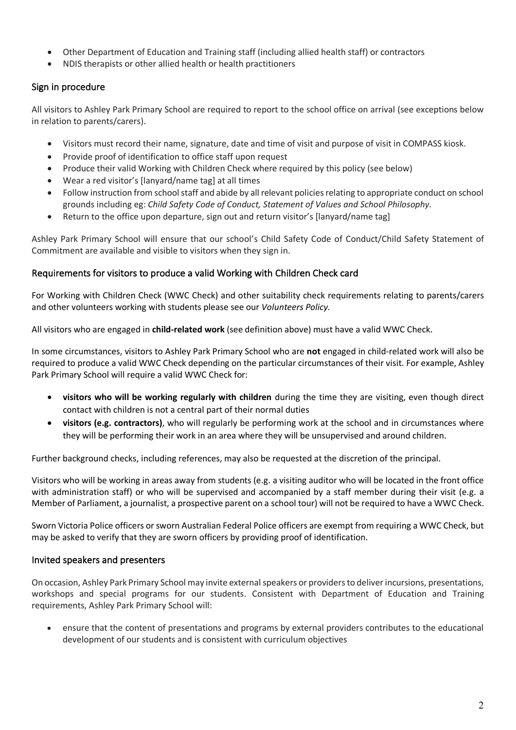- Other Department of Education and Training staff (including allied health staff) or contractors
- NDIS therapists or other allied health or health practitioners

# Sign in procedure

All visitors to Ashley Park Primary School are required to report to the school office on arrival (see exceptions below in relation to parents/carers).

- Visitors must record their name, signature, date and time of visit and purpose of visit in COMPASS kiosk.
- Provide proof of identification to office staff upon request
- Produce their valid Working with Children Check where required by this policy (see below)
- Wear a red visitor's [lanyard/name tag] at all times
- Follow instruction from school staff and abide by all relevant policies relating to appropriate conduct on school grounds including eg: *Child Safety Code of Conduct, Statement of Values and School Philosophy.*
- Return to the office upon departure, sign out and return visitor's [lanyard/name tag]

Ashley Park Primary School will ensure that our school's Child Safety Code of Conduct/Child Safety Statement of Commitment are available and visible to visitors when they sign in.

### Requirements for visitors to produce a valid Working with Children Check card

For Working with Children Check (WWC Check) and other suitability check requirements relating to parents/carers and other volunteers working with students please see our *Volunteers Policy.*

All visitors who are engaged in **child-related work** (see definition above) must have a valid WWC Check.

In some circumstances, visitors to Ashley Park Primary School who are **not** engaged in child-related work will also be required to produce a valid WWC Check depending on the particular circumstances of their visit. For example, Ashley Park Primary School will require a valid WWC Check for:

- **visitors who will be working regularly with children** during the time they are visiting, even though direct contact with children is not a central part of their normal duties
- **visitors (e.g. contractors)**, who will regularly be performing work at the school and in circumstances where they will be performing their work in an area where they will be unsupervised and around children.

Further background checks, including references, may also be requested at the discretion of the principal.

Visitors who will be working in areas away from students (e.g. a visiting auditor who will be located in the front office with administration staff) or who will be supervised and accompanied by a staff member during their visit (e.g. a Member of Parliament, a journalist, a prospective parent on a school tour) will not be required to have a WWC Check.

Sworn Victoria Police officers or sworn Australian Federal Police officers are exempt from requiring a WWC Check, but may be asked to verify that they are sworn officers by providing proof of identification.

# Invited speakers and presenters

On occasion, Ashley Park Primary School may invite external speakers or providers to deliver incursions, presentations, workshops and special programs for our students. Consistent with Department of Education and Training requirements, Ashley Park Primary School will:

• ensure that the content of presentations and programs by external providers contributes to the educational development of our students and is consistent with curriculum objectives